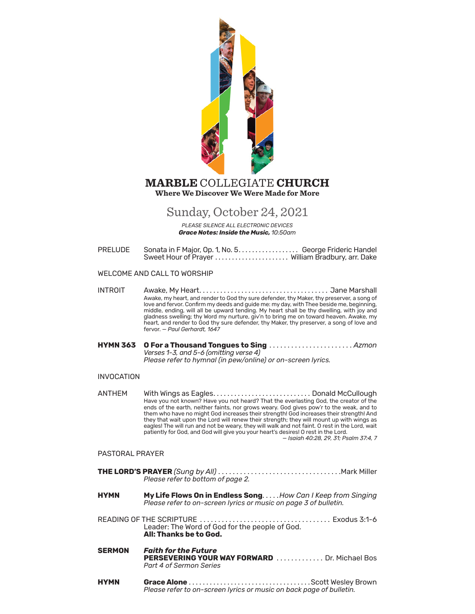

# **Where We Discover We Were Made for More MARBLE** COLLEGIATE **CHURCH**

# Sunday, October 24, 2021

*PLEASE SILENCE ALL ELECTRONIC DEVICES Grace Notes: Inside the Music, 10:50am*

PRELUDE Sonata in F Major, Op. 1, No. 5. . . . . . . . . . . . . . . . . George Frideric Handel Sweet Hour of Prayer. . . William Bradbury, arr. Dake

# WELCOME AND CALL TO WORSHIP

INTROIT Awake, My Heart. . . Jane Marshall Awake, my heart, and render to God thy sure defender, thy Maker, thy preserver, a song of love and fervor. Confirm my deeds and guide me: my day, with Thee beside me, beginning, middle, ending, will all be upward tending. My heart shall be thy dwelling, with joy and gladness swelling; thy Word my nurture, giv'n to bring me on toward heaven. Awake, my heart, and render to God thy sure defender, thy Maker, thy preserver, a song of love and fervor. — *Paul Gerhardt, 1647*

**HYMN 363 O For a Thousand Tongues to Sing** . . . . . . . . . . . . . . . . . . . . . . . *Azmon Verses 1-3, and 5-6 (omitting verse 4) Please refer to [hymnal \(](https://hymnary.org/hymnal/RITL1985)in pew/online) or on-screen lyrics.*

# INVOCATION

ANTHEM With Wings as Eagles . . . . . . . . . . . . . . . . . . . . . . . . . . . . Donald McCullough Have you not known? Have you not heard? That the everlasting God, the creator of the ends of the earth, neither faints, nor grows weary. God gives pow'r to the weak, and to them who have no might God increases their strength! God increases their strength! And they that wait upon the Lord will renew their strength; they will mount up with wings as eagles! The will run and not be weary, they will walk and not faint. O rest in the Lord, wait patiently for God, and God will give you your heart's desires! O rest in the Lord. — *Isaiah 40:28, 29, 31; Psalm 37:4, 7*

# PASTORAL PRAYER

- **THE LORD'S PRAYER** *(Sung by All)* . . . . . . . . . . . . . . . . . . . . . . . . . . . . . . . . . .Mark Miller *Please refer to bottom of page 2.*
- **HYMN My Life Flows On in Endless Song**. . . . .*How Can I Keep from Singing Please refer to on-screen lyrics or music on page 3 of bulletin.*
- READING OF THE SCRIPTURE . . . . . . . . . . . . . . . . . . . . . . . . . . . . . . . . . . . . Exodus 3:1-6 Leader: The Word of God for the people of God. **All: Thanks be to God.**
- **SERMON** *Faith for the Future* **PERSEVERING YOUR WAY FORWARD** ............ Dr. Michael Bos *Part 4 of Sermon Series*
- **HYMN Grace Alone**. Scott Wesley Brown *Please refer to on-screen lyrics or music on back page of bulletin.*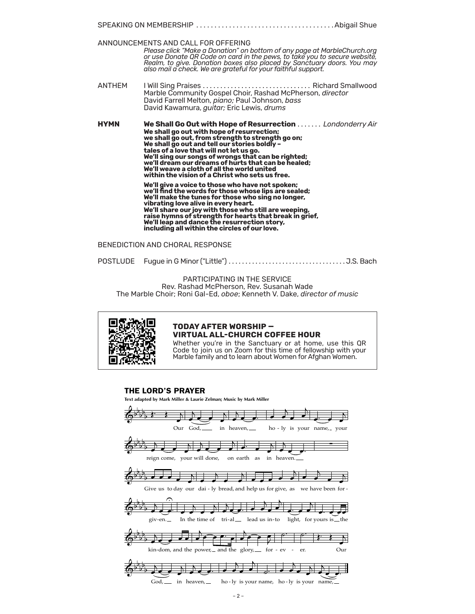|               | ANNOUNCEMENTS AND CALL FOR OFFERING<br>Please click "Make a Donation" on bottom of any page at MarbleChurch.org<br>or use Donate QR Code on card in the pews, to take you to secure website,<br>Realm, to give. Donation boxes also placed by Sanctuary doors. You may<br>also mail a check. We are grateful for your faithful support.                                                                                                                                                                                                                                                                                                                                                                                                                                                                                                                                                                                 |  |  |  |  |
|---------------|-------------------------------------------------------------------------------------------------------------------------------------------------------------------------------------------------------------------------------------------------------------------------------------------------------------------------------------------------------------------------------------------------------------------------------------------------------------------------------------------------------------------------------------------------------------------------------------------------------------------------------------------------------------------------------------------------------------------------------------------------------------------------------------------------------------------------------------------------------------------------------------------------------------------------|--|--|--|--|
| <b>ANTHFM</b> | Marble Community Gospel Choir, Rashad McPherson, director<br>David Farrell Melton, piano; Paul Johnson, bass<br>David Kawamura, <i>guitar</i> ; Eric Lewis, drums                                                                                                                                                                                                                                                                                                                                                                                                                                                                                                                                                                                                                                                                                                                                                       |  |  |  |  |
| <b>HYMN</b>   | <b>We Shall Go Out with Hope of Resurrection</b> <i>Londonderry Air</i><br>We shall go out with hope of resurrection;<br>we shall go out, from strength to strength go on;<br>We shall go out and tell our stories boldly -<br>tales of a love that will not let us go.<br>We'll sing our songs of wrongs that can be righted;<br>we'll dream our dreams of hurts that can be healed;<br>We'll weave a cloth of all the world united<br>within the vision of a Christ who sets us free.<br>We'll give a voice to those who have not spoken;<br>we'll find the words for those whose lips are sealed;<br>We'll make the tunes for those who sing no longer,<br>vibrating love alive in every heart.<br>We'll share our joy with those who still are weeping,<br>raise hymns of strength for hearts that break in grief,<br>We'll leap and dance the resurrection story,<br>including all within the circles of our love. |  |  |  |  |

BENEDICTION AND CHORAL RESPONSE

POSTLUDE Fugue in G Minor ("Little") . . . . . . . . . . . . . . . . . . . . . . . . . . . . . . . . . . . J.S. Bach

PARTICIPATING IN THE SERVICE Rev. Rashad McPherson, Rev. Susanah Wade The Marble Choir; Roni Gal-Ed, *oboe*; Kenneth V. Dake, *director of music*



# **TODAY AFTER WORSHIP — VIRTUAL ALL-CHURCH COFFEE HOUR**

Whether you're in the Sanctuary or at home, use this QR Code to join us on Zoom for this time of fellowship with your Marble family and to learn about Women for Afghan Women.

# THE LORD'S PRAYER

**Text adapted by Mark Miller & Laurie Zelman; Music by Mark Miller**

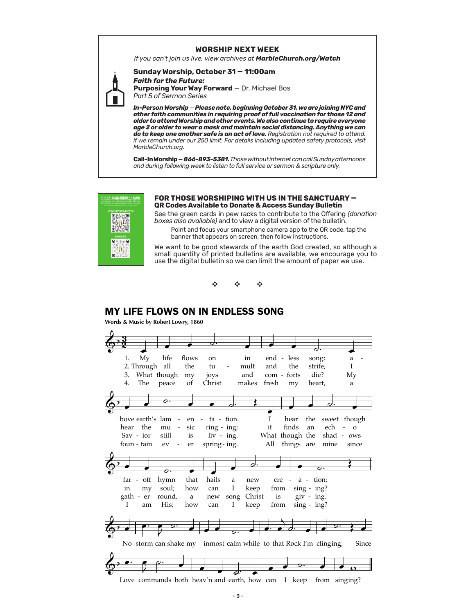### **WORSHIP NEXT WEEK**

If you can't join us live, view archives at MarbleChurch.org/Watch

## Sunday Worship, October 31 - 11:00am **Faith for the Future:**

**Purposing Your Way Forward - Dr. Michael Bos** Part 5 of Sermon Series

In-Person Worship – Please note, beginning October 31, we are joining NYC and<br>other faith communities in requiring proof of full vaccination for those 12 and older to attend Worship and other events. We also continue to require everyone age 2 or older to wear a mask and maintain social distancing. Anything we can do to keep one another safe is an act of love. Registration not required to attend, if we remain under our 250 limit. For details including updated safety protocols, visit MarbleChurch.org.

Call-In Worship - 866-893-5381. Those without internet can call Sunday afternoons and during following week to listen to full service or sermon & scripture only.



### FOR THOSE WORSHIPING WITH US IN THE SANCTUARY -QR Codes Available to Donate & Access Sunday Bulletin

See the green cards in pew racks to contribute to the Offering (donation boxes also available) and to view a digital version of the bulletin.

Point and focus your smartphone camera app to the QR code, tap the banner that appears on screen, then follow instructions.

We want to be good stewards of the earth God created, so although a small quantity of printed bulletins are available, we encourage you to use the digital bulletin so we can limit the amount of paper we use.



# **MY LIFE FLOWS ON IN ENDLESS SONG**

Words & Music by Robert Lowry, 1860

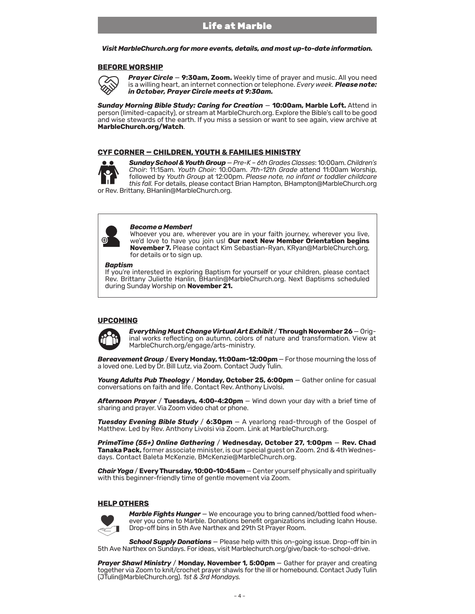*Visit MarbleChurch.org for more events, details, and most up-to-date information.* 

## **BEFORE WORSHIP**



*Prayer Circle* — **9:30am, Zoom.** Weekly time of prayer and music. All you need is a willing heart, an internet connection or telephone. *Every week. Please note: in October, Prayer Circle meets at 9:30am.* 

*Sunday Morning Bible Study: Caring for Creation* — **10:00am, Marble Loft.** Attend in person (limited-capacity), or stream at MarbleChurch.org. Explore the Bible's call to be good and wise stewards of the earth. If you miss a session or want to see again, view archive at **MarbleChurch.org/Watch**.

## **CYF CORNER — CHILDREN, YOUTH & FAMILIES MINISTRY**



*Sunday School & Youth Group* — *Pre-K – 6th Grades Classes*: 10:00am. *Children's Choir*: 11:15am. *Youth Choir:* 10:00am. *7th-12th Grade* attend 11:00am Worship, followed by *Youth Group* at 12:00pm. *Please note, no infant or toddler childcare this fall.* For details, please contact Brian Hampton, BHampton@MarbleChurch.org or Rev. Brittany, BHanlin@MarbleChurch.org.



### *Become a Member!*

Whoever you are, wherever you are in your faith journey, wherever you live, we'd love to have you join us! **Our next New Member Orientation begins November 7.** Please contact Kim Sebastian-Ryan, KRyan@MarbleChurch.org, for details or to sign up.

#### *Baptism*

If you're interested in exploring Baptism for yourself or your children, please contact Rev. Brittany Juliette Hanlin, BHanlin@MarbleChurch.org. Next Baptisms scheduled during Sunday Worship on **November 21.**

## **UPCOMING**



*Everything Must Change Virtual Art Exhibit* / **Through November 26** — Original works reflecting on autumn, colors of nature and transformation. View at MarbleChurch.org/engage/arts-ministry.

*Bereavement Group* / **Every Monday, 11:00am-12:00pm** — For those mourning the loss of a loved one. Led by Dr. Bill Lutz, via Zoom. Contact Judy Tulin.

*Young Adults Pub Theology* / **Monday, October 25, 6:00pm** — Gather online for casual conversations on faith and life. Contact Rev. Anthony Livolsi.

*Afternoon Prayer* / **Tuesdays, 4:00-4:20pm** — Wind down your day with a brief time of sharing and prayer. Via Zoom video chat or phone.

*Tuesday Evening Bible Study* / **6:30pm** — A yearlong read-through of the Gospel of Matthew. Led by Rev. Anthony Livolsi via Zoom. Link at MarbleChurch.org.

*PrimeTime (55+) Online Gathering* / **Wednesday, October 27, 1:00pm** — **Rev. Chad Tanaka Pack,** former associate minister, is our special guest on Zoom. 2nd & 4th Wednesdays. Contact Baleta McKenzie, BMcKenzie@MarbleChurch.org.

*Chair Yoga* / **Every Thursday, 10:00-10:45am** — Center yourself physically and spiritually with this beginner-friendly time of gentle movement via Zoom.

# **HELP OTHERS**



*Marble Fights Hunger* — We encourage you to bring canned/bottled food whenever you come to Marble. Donations benefit organizations including Icahn House. Drop-off bins in 5th Ave Narthex and 29th St Prayer Room.

*School Supply Donations* — Please help with this on-going issue. Drop-off bin in 5th Ave Narthex on Sundays. For ideas, visit Marblechurch.org/give/back-to-school-drive.

*Prayer Shawl Ministry* / Monday, November 1, 5:00pm – Gather for prayer and creating together via Zoom to knit/crochet prayer shawls for the ill or homebound. Contact Judy Tulin (JTulin@MarbleChurch.org). *1st & 3rd Mondays.*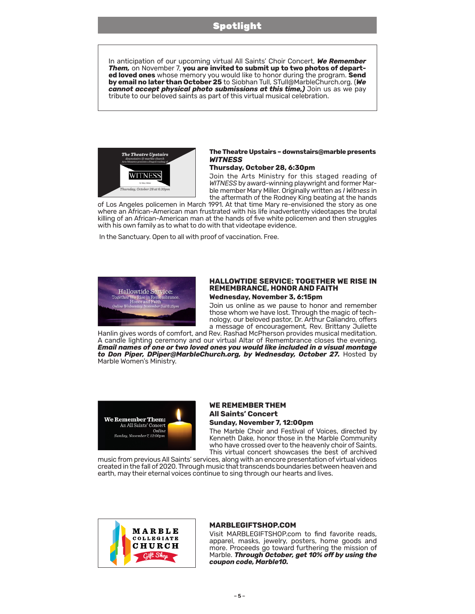# Spotlight

In anticipation of our upcoming virtual All Saints' Choir Concert, *We Remember Them,* on November 7, **you are invited to submit up to two photos of departed loved ones** whose memory you would like to honor during the program. **Send by email no later than October 25** to Siobhan Tull, STull@MarbleChurch.org. (*We*  cannot accept physical photo submissions at this time,) Join us as we pay tribute to our beloved saints as part of this virtual musical celebration.



## **The Theatre Upstairs – downstairs@marble presents**  *WITNESS*

### **Thursday, October 28, 6:30pm**

Join the Arts Ministry for this staged reading of *WITNESS* by award-winning playwright and former Marble member Mary Miller. Originally written as *I Witness* in the aftermath of the Rodney King beating at the hands

of Los Angeles policemen in March 1991. At that time Mary re-envisioned the story as one where an African-American man frustrated with his life inadvertently videotapes the brutal killing of an African-American man at the hands of five white policemen and then struggles with his own family as to what to do with that videotape evidence.

In the Sanctuary. Open to all with proof of vaccination. Free.



### **HALLOWTIDE SERVICE: TOGETHER WE RISE IN REMEMBRANCE, HONOR AND FAITH Wednesday, November 3, 6:15pm**

Join us online as we pause to honor and remember those whom we have lost. Through the magic of technology, our beloved pastor, Dr. Arthur Caliandro, offers a message of encouragement, Rev. Brittany Juliette

Hanlin gives words of comfort, and Rev. Rashad McPherson provides musical meditation. A candle lighting ceremony and our virtual Altar of Remembrance closes the evening. *Email names of one or two loved ones you would like included in a visual montage to Don Piper, DPiper@MarbleChurch.org, by Wednesday, October 27.* Hosted by Marble Women's Ministry.



# **WE REMEMBER THEM All Saints' Concert Sunday, November 7, 12:00pm**

The Marble Choir and Festival of Voices, directed by Kenneth Dake, honor those in the Marble Community who have crossed over to the heavenly choir of Saints.

This virtual concert showcases the best of archived music from previous All Saints' services, along with an encore presentation of virtual videos created in the fall of 2020. Through music that transcends boundaries between heaven and earth, may their eternal voices continue to sing through our hearts and lives.



## **MARBLEGIFTSHOP.COM**

Visit MARBLEGIFTSHOP.com to find favorite reads, apparel, masks, jewelry, posters, home goods and more. Proceeds go toward furthering the mission of Marble. *Through October, get 10% off by using the coupon code, Marble10.*